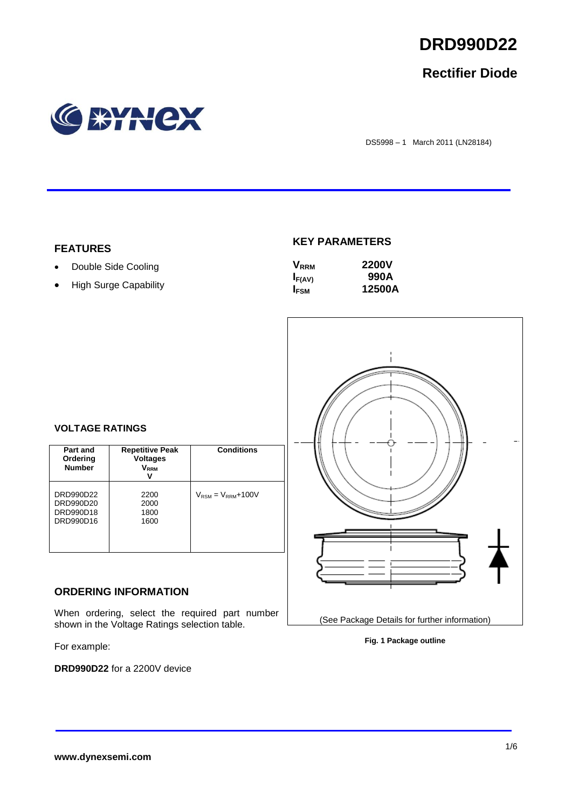

## **Rectifier Diode**



DS5998 – 1 March 2011 (LN28184)

## **FEATURES**

- Double Side Cooling
- High Surge Capability

## **KEY PARAMETERS**

| <b>V</b> <sub>RRM</sub> | <b>2200V</b> |
|-------------------------|--------------|
| $I_{F(AV)}$             | 990A         |
| I <sub>FSM</sub>        | 12500A       |



### **Fig. 1 Package outline**

## **VOLTAGE RATINGS**

| Part and<br>Ordering<br><b>Number</b>            | <b>Repetitive Peak</b><br><b>Voltages</b><br><b>V</b> <sub>RRM</sub> | <b>Conditions</b>                        |
|--------------------------------------------------|----------------------------------------------------------------------|------------------------------------------|
| DRD990D22<br>DRD990D20<br>DRD990D18<br>DRD990D16 | 2200<br>2000<br>1800<br>1600                                         | $V_{\text{RSM}} = V_{\text{RRM}} + 100V$ |

## **ORDERING INFORMATION**

When ordering, select the required part number shown in the Voltage Ratings selection table.

For example:

**DRD990D22** for a 2200V device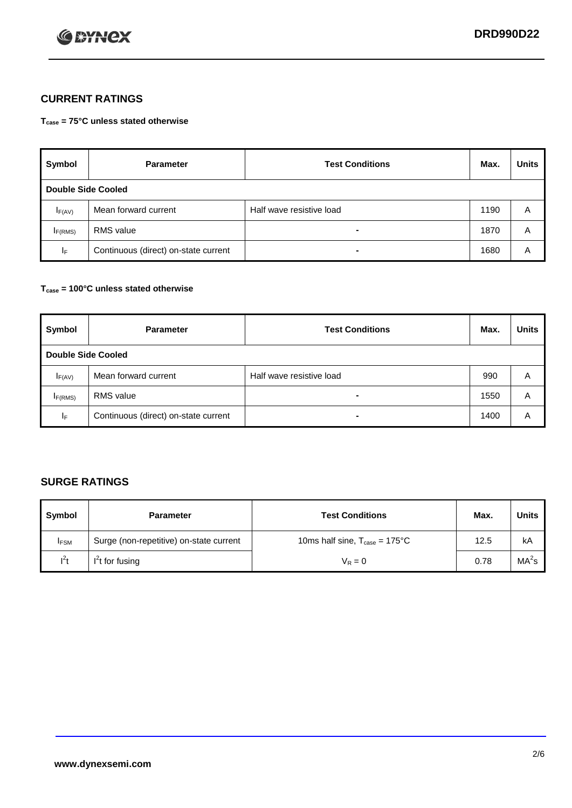

## **CURRENT RATINGS**

**Tcase = 75°C unless stated otherwise**

| Symbol                    | <b>Parameter</b>                     | <b>Test Conditions</b>   | Max. | <b>Units</b> |  |
|---------------------------|--------------------------------------|--------------------------|------|--------------|--|
| <b>Double Side Cooled</b> |                                      |                          |      |              |  |
| $I_{F(AV)}$               | Mean forward current                 | Half wave resistive load | 1190 | A            |  |
| IF(RMS)                   | <b>RMS</b> value                     | $\blacksquare$           | 1870 | A            |  |
| IF.                       | Continuous (direct) on-state current | $\blacksquare$           | 1680 | Α            |  |

### **Tcase = 100°C unless stated otherwise**

| Symbol                    | <b>Parameter</b>                     | <b>Test Conditions</b>   | Max. | <b>Units</b> |  |
|---------------------------|--------------------------------------|--------------------------|------|--------------|--|
| <b>Double Side Cooled</b> |                                      |                          |      |              |  |
| $I_{F(AV)}$               | Mean forward current                 | Half wave resistive load | 990  | A            |  |
| I <sub>F(RMS)</sub>       | <b>RMS</b> value                     | $\blacksquare$           | 1550 | A            |  |
| ΙF                        | Continuous (direct) on-state current | ۰                        | 1400 | A            |  |

## **SURGE RATINGS**

| Symbol      | <b>Parameter</b>                        | <b>Test Conditions</b>                            | Max. | <b>Units</b>      |
|-------------|-----------------------------------------|---------------------------------------------------|------|-------------------|
| <b>IFSM</b> | Surge (non-repetitive) on-state current | 10ms half sine, $T_{\text{case}} = 175^{\circ}$ C | 12.5 | kA                |
| $l^2t$      | I <sup>'</sup> t for fusing             | $V_R = 0$                                         | 0.78 | MA <sup>2</sup> s |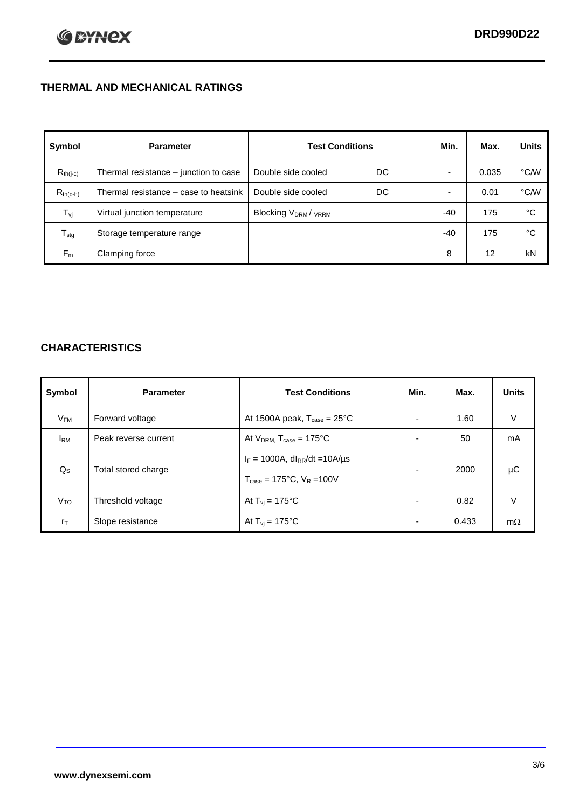## **THERMAL AND MECHANICAL RATINGS**

| Symbol           | <b>Parameter</b>                      | <b>Test Conditions</b>                      |    | Min.  | Max.  | <b>Units</b> |
|------------------|---------------------------------------|---------------------------------------------|----|-------|-------|--------------|
| $R_{th(j-c)}$    | Thermal resistance - junction to case | Double side cooled                          | DC |       | 0.035 | °C/W         |
| $R_{th(c-h)}$    | Thermal resistance – case to heatsink | Double side cooled                          | DC |       | 0.01  | °C/W         |
| $T_{\rm vj}$     | Virtual junction temperature          | Blocking V <sub>DRM</sub> / <sub>VRRM</sub> |    | -40   | 175   | °C           |
| $T_{\text{stg}}$ | Storage temperature range             |                                             |    | $-40$ | 175   | °C           |
| $F_m$            | Clamping force                        |                                             |    | 8     | 12    | kN           |

## **CHARACTERISTICS**

| Symbol                   | <b>Parameter</b>     | <b>Test Conditions</b>                                                                           | Min.                     | Max.  | <b>Units</b> |
|--------------------------|----------------------|--------------------------------------------------------------------------------------------------|--------------------------|-------|--------------|
| $\mathsf{V}_\mathsf{FM}$ | Forward voltage      | At 1500A peak, $T_{\text{case}} = 25^{\circ}C$                                                   |                          | 1.60  | V            |
| <b>I</b> <sub>RM</sub>   | Peak reverse current | At $V_{DRM}$ , $T_{case} = 175^{\circ}C$                                                         | ۰                        | 50    | mA           |
| $Q_{\rm S}$              | Total stored charge  | $I_F = 1000A$ , dl <sub>RR</sub> /dt = 10A/us<br>$T_{\text{case}} = 175^{\circ}C$ , $V_R = 100V$ | $\blacksquare$           | 2000  | μC           |
| V <sub>TO</sub>          | Threshold voltage    | At $T_{vi} = 175^{\circ}C$                                                                       | $\blacksquare$           | 0.82  | V            |
| $r_{\text{T}}$           | Slope resistance     | At $T_{vi} = 175^{\circ}C$                                                                       | $\overline{\phantom{0}}$ | 0.433 | $m\Omega$    |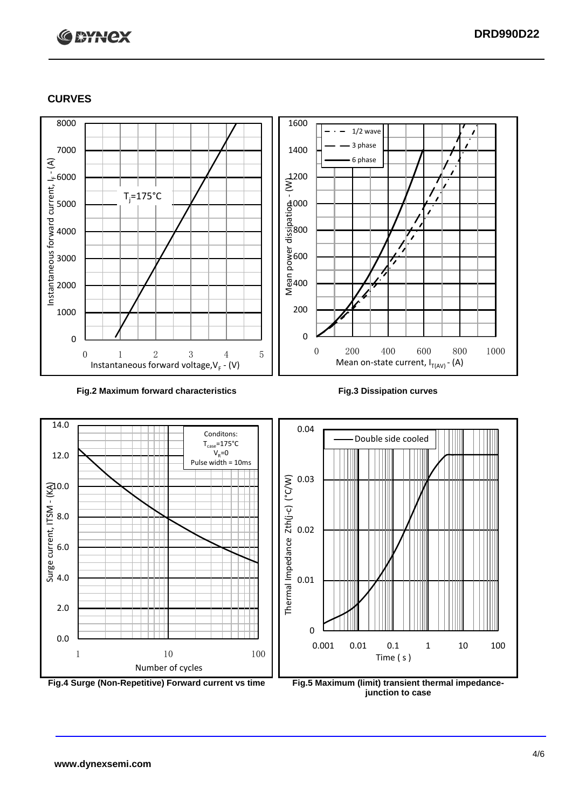# **C BYNCX**

## **CURVES**



### **Fig.2 Maximum forward characteristics Fig.3 Dissipation curves**



**junction to case**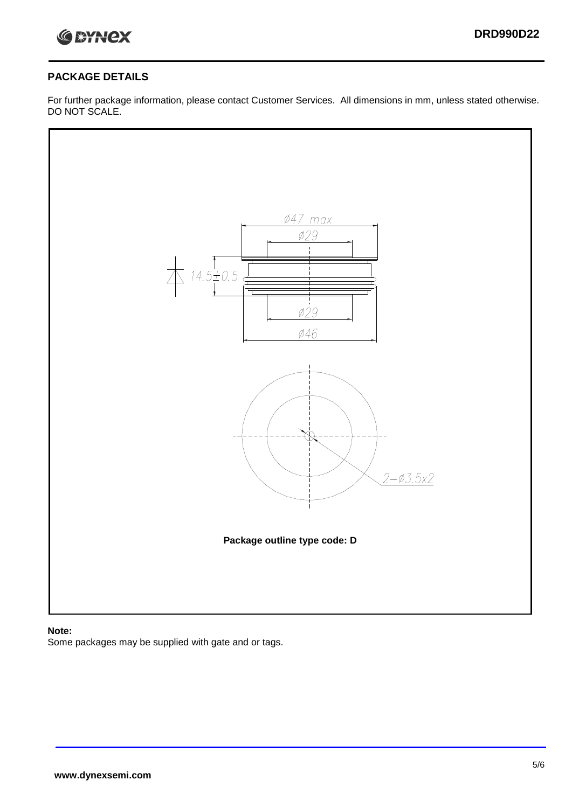

## **PACKAGE DETAILS**

For further package information, please contact Customer Services. All dimensions in mm, unless stated otherwise. DO NOT SCALE.



## **Note:**

Some packages may be supplied with gate and or tags.